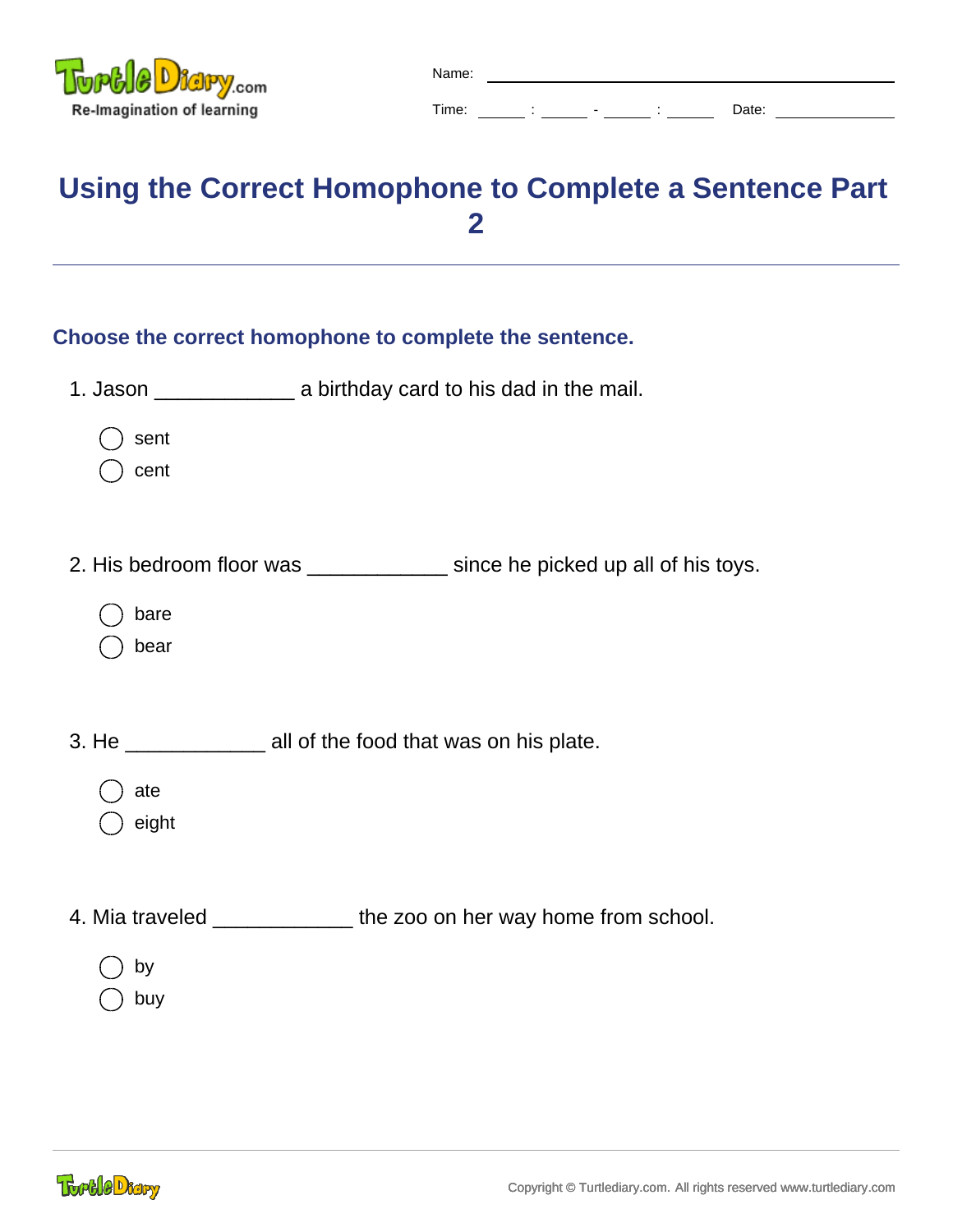

| Name |  |  |
|------|--|--|
|      |  |  |

Time:  $\frac{1}{2}$  :  $\frac{1}{2}$   $\frac{1}{2}$   $\frac{1}{2}$   $\frac{1}{2}$   $\frac{1}{2}$   $\frac{1}{2}$   $\frac{1}{2}$   $\frac{1}{2}$   $\frac{1}{2}$   $\frac{1}{2}$   $\frac{1}{2}$   $\frac{1}{2}$   $\frac{1}{2}$   $\frac{1}{2}$   $\frac{1}{2}$   $\frac{1}{2}$   $\frac{1}{2}$   $\frac{1}{2}$   $\frac{1}{2}$   $\frac{1}{2}$   $\frac$ 

**Using the Correct Homophone to Complete a Sentence Part 2**

| Choose the correct homophone to complete the sentence.                       |  |  |  |  |
|------------------------------------------------------------------------------|--|--|--|--|
|                                                                              |  |  |  |  |
|                                                                              |  |  |  |  |
|                                                                              |  |  |  |  |
| 2. His bedroom floor was _______________ since he picked up all of his toys. |  |  |  |  |
|                                                                              |  |  |  |  |
|                                                                              |  |  |  |  |
|                                                                              |  |  |  |  |
| 3. He ____________________ all of the food that was on his plate.            |  |  |  |  |
|                                                                              |  |  |  |  |
|                                                                              |  |  |  |  |
| 4. Mia traveled _______________ the zoo on her way home from school.         |  |  |  |  |
|                                                                              |  |  |  |  |
|                                                                              |  |  |  |  |
|                                                                              |  |  |  |  |

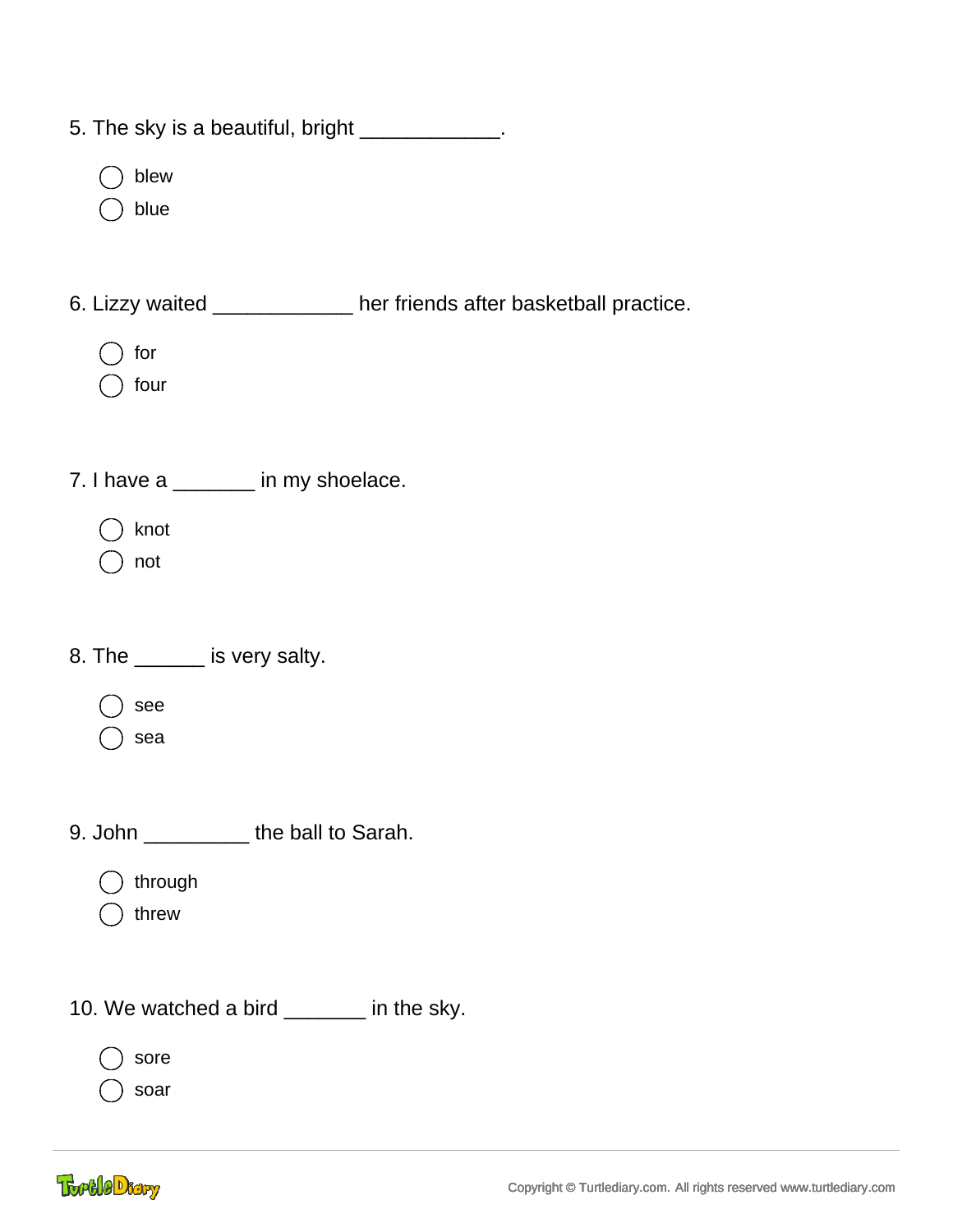| 5. The sky is a beautiful, bright _____________.                     |
|----------------------------------------------------------------------|
| blew<br>blue                                                         |
| 6. Lizzy waited _____________ her friends after basketball practice. |
| for<br>four                                                          |
| 7. I have a ______ in my shoelace.                                   |
| knot<br>not                                                          |
| 8. The _______ is very salty.                                        |
| see<br>sea                                                           |
| 9. John _____________the ball to Sarah.                              |
| through<br>threw                                                     |
| 10. We watched a bird _______ in the sky.                            |
| sore<br>soar                                                         |